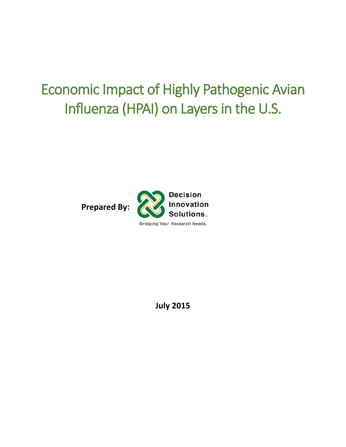# Economic Impact of Highly Pathogenic Avian Influenza (HPAI) on Layers in the U.S.

**Prepared By:** 



**July 2015**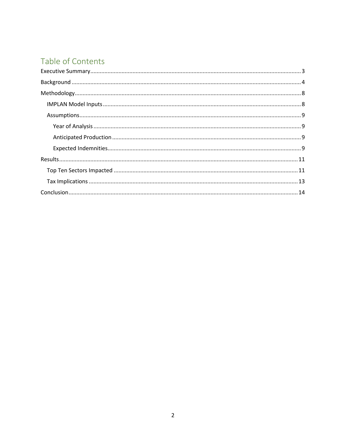# Table of Contents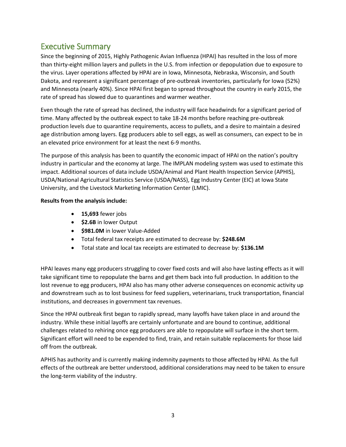## <span id="page-2-0"></span>Executive Summary

Since the beginning of 2015, Highly Pathogenic Avian Influenza (HPAI) has resulted in the loss of more than thirty-eight million layers and pullets in the U.S. from infection or depopulation due to exposure to the virus. Layer operations affected by HPAI are in Iowa, Minnesota, Nebraska, Wisconsin, and South Dakota, and represent a significant percentage of pre-outbreak inventories, particularly for Iowa (52%) and Minnesota (nearly 40%). Since HPAI first began to spread throughout the country in early 2015, the rate of spread has slowed due to quarantines and warmer weather.

Even though the rate of spread has declined, the industry will face headwinds for a significant period of time. Many affected by the outbreak expect to take 18-24 months before reaching pre-outbreak production levels due to quarantine requirements, access to pullets, and a desire to maintain a desired age distribution among layers. Egg producers able to sell eggs, as well as consumers, can expect to be in an elevated price environment for at least the next 6-9 months.

The purpose of this analysis has been to quantify the economic impact of HPAI on the nation's poultry industry in particular and the economy at large. The IMPLAN modeling system was used to estimate this impact. Additional sources of data include USDA/Animal and Plant Health Inspection Service (APHIS), USDA/National Agricultural Statistics Service (USDA/NASS), Egg Industry Center (EIC) at Iowa State University, and the Livestock Marketing Information Center (LMIC).

#### **Results from the analysis include:**

- **15,693** fewer jobs
- **\$2.6B** in lower Output
- **\$981.0M** in lower Value-Added
- Total federal tax receipts are estimated to decrease by: **\$248.6M**
- Total state and local tax receipts are estimated to decrease by: **\$136.1M**

HPAI leaves many egg producers struggling to cover fixed costs and will also have lasting effects as it will take significant time to repopulate the barns and get them back into full production. In addition to the lost revenue to egg producers, HPAI also has many other adverse consequences on economic activity up and downstream such as to lost business for feed suppliers, veterinarians, truck transportation, financial institutions, and decreases in government tax revenues.

Since the HPAI outbreak first began to rapidly spread, many layoffs have taken place in and around the industry. While these initial layoffs are certainly unfortunate and are bound to continue, additional challenges related to rehiring once egg producers are able to repopulate will surface in the short term. Significant effort will need to be expended to find, train, and retain suitable replacements for those laid off from the outbreak.

APHIS has authority and is currently making indemnity payments to those affected by HPAI. As the full effects of the outbreak are better understood, additional considerations may need to be taken to ensure the long-term viability of the industry.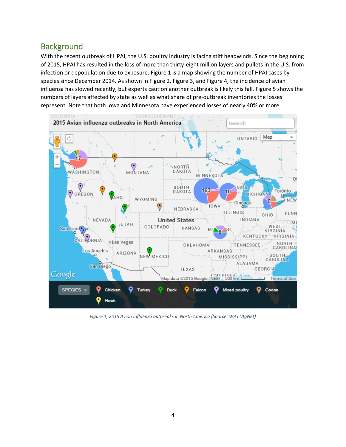## <span id="page-3-0"></span>**Background**

With the recent outbreak of HPAI, the U.S. poultry industry is facing stiff headwinds. Since the beginning of 2015, HPAI has resulted in the loss of more than thirty-eight million layers and pullets in the U.S. from infection or depopulation due to exposure[. Figure 1](#page-3-1) is a map showing the number of HPAI cases by species since December 2014. As shown in [Figure 2,](#page-4-0) [Figure 3,](#page-4-1) and [Figure 4,](#page-5-0) the incidence of avian influenza has slowed recently, but experts caution another outbreak is likely this fall. [Figure 5](#page-5-1) shows the numbers of layers affected by state as well as what share of pre-outbreak inventories the losses represent. Note that both Iowa and Minnesota have experienced losses of nearly 40% or more.



<span id="page-3-1"></span>*Figure 1, 2015 Avian Influenza outbreaks in North America (Source: WATTAgNet)*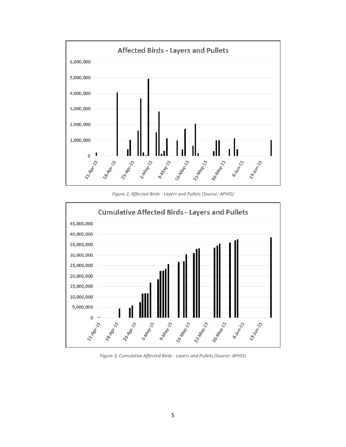

*Figure 2, Affected Birds - Layers and Pullets (Source: APHIS)*

<span id="page-4-0"></span>

<span id="page-4-1"></span>*Figure 3, Cumulative Affected Birds - Layers and Pullets (Source: APHIS)*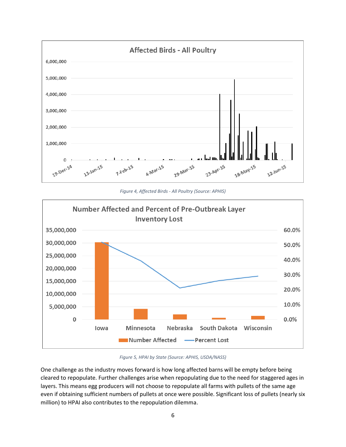

*Figure 4, Affected Birds - All Poultry (Source: APHIS)*

<span id="page-5-0"></span>

#### *Figure 5, HPAI by State (Source: APHIS, USDA/NASS)*

<span id="page-5-1"></span>One challenge as the industry moves forward is how long affected barns will be empty before being cleared to repopulate. Further challenges arise when repopulating due to the need for staggered ages in layers. This means egg producers will not choose to repopulate all farms with pullets of the same age even if obtaining sufficient numbers of pullets at once were possible. Significant loss of pullets (nearly six million) to HPAI also contributes to the repopulation dilemma.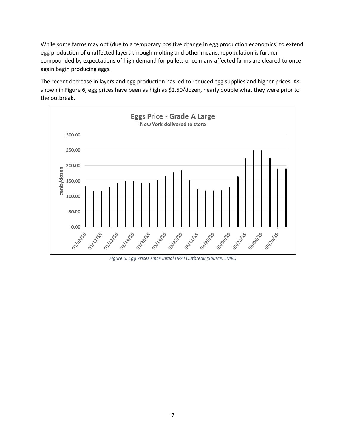While some farms may opt (due to a temporary positive change in egg production economics) to extend egg production of unaffected layers through molting and other means, repopulation is further compounded by expectations of high demand for pullets once many affected farms are cleared to once again begin producing eggs.

The recent decrease in layers and egg production has led to reduced egg supplies and higher prices. As shown in [Figure 6,](#page-6-0) egg prices have been as high as \$2.50/dozen, nearly double what they were prior to the outbreak.



<span id="page-6-0"></span>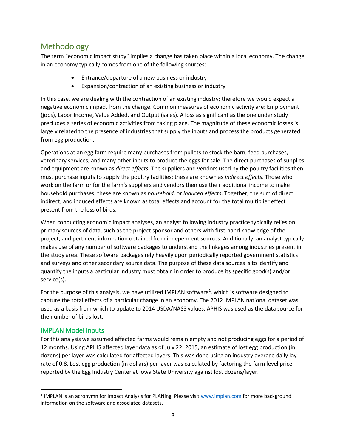## <span id="page-7-0"></span>Methodology

The term "economic impact study" implies a change has taken place within a local economy. The change in an economy typically comes from one of the following sources:

- Entrance/departure of a new business or industry
- Expansion/contraction of an existing business or industry

In this case, we are dealing with the contraction of an existing industry; therefore we would expect a negative economic impact from the change. Common measures of economic activity are: Employment (jobs), Labor Income, Value Added, and Output (sales). A loss as significant as the one under study precludes a series of economic activities from taking place. The magnitude of these economic losses is largely related to the presence of industries that supply the inputs and process the products generated from egg production.

Operations at an egg farm require many purchases from pullets to stock the barn, feed purchases, veterinary services, and many other inputs to produce the eggs for sale. The direct purchases of supplies and equipment are known as *direct effects*. The suppliers and vendors used by the poultry facilities then must purchase inputs to supply the poultry facilities; these are known as *indirect effects*. Those who work on the farm or for the farm's suppliers and vendors then use their additional income to make household purchases; these are known as *household*, or *induced effects*. Together, the sum of direct, indirect, and induced effects are known as total effects and account for the total multiplier effect present from the loss of birds.

When conducting economic impact analyses, an analyst following industry practice typically relies on primary sources of data, such as the project sponsor and others with first-hand knowledge of the project, and pertinent information obtained from independent sources. Additionally, an analyst typically makes use of any number of software packages to understand the linkages among industries present in the study area. These software packages rely heavily upon periodically reported government statistics and surveys and other secondary source data. The purpose of these data sources is to identify and quantify the inputs a particular industry must obtain in order to produce its specific good(s) and/or service(s).

For the purpose of this analysis, we have utilized IMPLAN software<sup>1</sup>, which is software designed to capture the total effects of a particular change in an economy. The 2012 IMPLAN national dataset was used as a basis from which to update to 2014 USDA/NASS values. APHIS was used as the data source for the number of birds lost.

## <span id="page-7-1"></span>IMPLAN Model Inputs

l

For this analysis we assumed affected farms would remain empty and not producing eggs for a period of 12 months. Using APHIS affected layer data as of July 22, 2015, an estimate of lost egg production (in dozens) per layer was calculated for affected layers. This was done using an industry average daily lay rate of 0.8. Lost egg production (in dollars) per layer was calculated by factoring the farm level price reported by the Egg Industry Center at Iowa State University against lost dozens/layer.

<sup>&</sup>lt;sup>1</sup> IMPLAN is an acronymn for Impact Analysis for PLANing. Please visit [www.implan.com](http://www.implan.com/) for more background information on the software and associated datasets.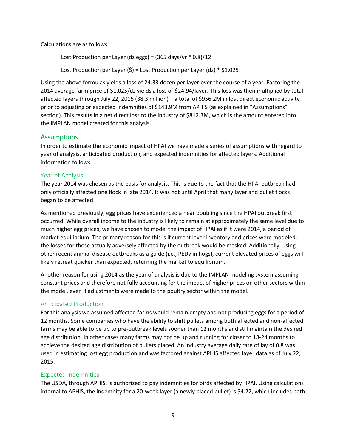Calculations are as follows:

Lost Production per Layer (dz eggs) =  $(365 \text{ days/yr} * 0.8)/12$ 

Lost Production per Layer  $(\xi)$  = Lost Production per Layer (dz) \*  $\xi$ 1.025

Using the above formulas yields a loss of 24.33 dozen per layer over the course of a year. Factoring the 2014 average farm price of \$1.025/dz yields a loss of \$24.94/layer. This loss was then multiplied by total affected layers through July 22, 2015 (38.3 million) – a total of \$956.2M in lost direct economic activity prior to adjusting or expected indemnities of \$143.9M from APHIS (as explained in "Assumptions" section). This results in a net direct loss to the industry of \$812.3M, which is the amount entered into the IMPLAN model created for this analysis.

#### <span id="page-8-0"></span>**Assumptions**

In order to estimate the economic impact of HPAI we have made a series of assumptions with regard to year of analysis, anticipated production, and expected indemnities for affected layers. Additional information follows.

#### <span id="page-8-1"></span>Year of Analysis

The year 2014 was chosen as the basis for analysis. This is due to the fact that the HPAI outbreak had only officially affected one flock in late 2014. It was not until April that many layer and pullet flocks began to be affected.

As mentioned previously, egg prices have experienced a near doubling since the HPAI outbreak first occurred. While overall income to the industry is likely to remain at approximately the same level due to much higher egg prices, we have chosen to model the impact of HPAI as if it were 2014, a period of market equilibrium. The primary reason for this is if current layer inventory and prices were modeled, the losses for those actually adversely affected by the outbreak would be masked. Additionally, using other recent animal disease outbreaks as a guide (i.e., PEDv in hogs), current elevated prices of eggs will likely retreat quicker than expected, returning the market to equilibrium.

Another reason for using 2014 as the year of analysis is due to the IMPLAN modeling system assuming constant prices and therefore not fully accounting for the impact of higher prices on other sectors within the model, even if adjustments were made to the poultry sector within the model.

#### <span id="page-8-2"></span>Anticipated Production

For this analysis we assumed affected farms would remain empty and not producing eggs for a period of 12 months. Some companies who have the ability to shift pullets among both affected and non-affected farms may be able to be up to pre-outbreak levels sooner than 12 months and still maintain the desired age distribution. In other cases many farms may not be up and running for closer to 18-24 months to achieve the desired age distribution of pullets placed. An industry average daily rate of lay of 0.8 was used in estimating lost egg production and was factored against APHIS affected layer data as of July 22, 2015.

#### <span id="page-8-3"></span>Expected Indemnities

The USDA, through APHIS, is authorized to pay indemnities for birds affected by HPAI. Using calculations internal to APHIS, the indemnity for a 20-week layer (a newly placed pullet) is \$4.22, which includes both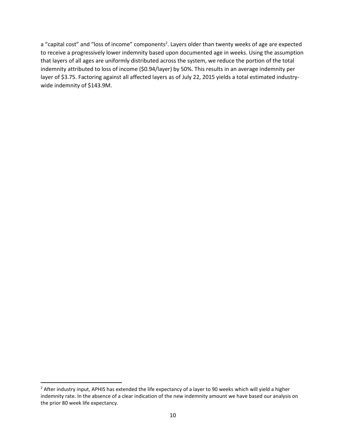a "capital cost" and "loss of income" components<sup>2</sup>. Layers older than twenty weeks of age are expected to receive a progressively lower indemnity based upon documented age in weeks. Using the assumption that layers of all ages are uniformly distributed across the system, we reduce the portion of the total indemnity attributed to loss of income (\$0.94/layer) by 50%. This results in an average indemnity per layer of \$3.75. Factoring against all affected layers as of July 22, 2015 yields a total estimated industrywide indemnity of \$143.9M.

 $\overline{\phantom{a}}$ 

<sup>&</sup>lt;sup>2</sup> After industry input, APHIS has extended the life expectancy of a layer to 90 weeks which will yield a higher indemnity rate. In the absence of a clear indication of the new indemnity amount we have based our analysis on the prior 80 week life expectancy.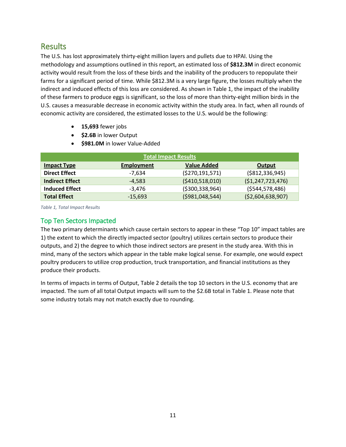## <span id="page-10-0"></span>**Results**

The U.S. has lost approximately thirty-eight million layers and pullets due to HPAI. Using the methodology and assumptions outlined in this report, an estimated loss of **\$812.3M** in direct economic activity would result from the loss of these birds and the inability of the producers to repopulate their farms for a significant period of time. While \$812.3M is a very large figure, the losses multiply when the indirect and induced effects of this loss are considered. As shown in [Table 1,](#page-10-2) the impact of the inability of these farmers to produce eggs is significant, so the loss of more than thirty-eight million birds in the U.S. causes a measurable decrease in economic activity within the study area. In fact, when all rounds of economic activity are considered, the estimated losses to the U.S. would be the following:

- **15,693** fewer jobs
- **\$2.6B** in lower Output
- **\*** \$981.0M in lower Value-Added

| <b>Total Impact Results</b> |                   |                    |                     |  |  |
|-----------------------------|-------------------|--------------------|---------------------|--|--|
| <b>Impact Type</b>          | <b>Employment</b> | <b>Value Added</b> | Output              |  |  |
| <b>Direct Effect</b>        | -7.634            | ( \$270, 191, 571) | ( \$812, 336, 945)  |  |  |
| <b>Indirect Effect</b>      | $-4.583$          | ( \$410,518,010)   | (51, 247, 723, 476) |  |  |
| <b>Induced Effect</b>       | $-3,476$          | ( \$300, 338, 964) | (5544, 578, 486)    |  |  |
| <b>Total Effect</b>         | $-15,693$         | ( \$981,048,544)   | (52,604,638,907)    |  |  |

<span id="page-10-2"></span>*Table 1, Total Impact Results*

## <span id="page-10-1"></span>Top Ten Sectors Impacted

The two primary determinants which cause certain sectors to appear in these "Top 10" impact tables are 1) the extent to which the directly impacted sector (poultry) utilizes certain sectors to produce their outputs, and 2) the degree to which those indirect sectors are present in the study area. With this in mind, many of the sectors which appear in the table make logical sense. For example, one would expect poultry producers to utilize crop production, truck transportation, and financial institutions as they produce their products.

In terms of impacts in terms of Output, [Table 2](#page-11-0) details the top 10 sectors in the U.S. economy that are impacted. The sum of all total Output impacts will sum to the \$2.6B total i[n Table 1.](#page-10-2) Please note that some industry totals may not match exactly due to rounding.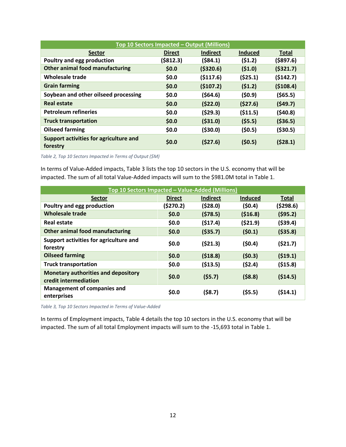| Top 10 Sectors Impacted - Output (Millions)        |               |                 |                |              |
|----------------------------------------------------|---------------|-----------------|----------------|--------------|
| <b>Sector</b>                                      | <b>Direct</b> | <b>Indirect</b> | <b>Induced</b> | <b>Total</b> |
| Poultry and egg production                         | ( \$812.3)    | (584.1)         | (51.2)         | ( \$897.6)   |
| Other animal food manufacturing                    | \$0.0         | ( \$320.6)      | (51.0)         | (5321.7)     |
| <b>Wholesale trade</b>                             | \$0.0         | ( \$117.6)      | (525.1)        | (5142.7)     |
| <b>Grain farming</b>                               | \$0.0         | (5107.2)        | (51.2)         | (5108.4)     |
| Soybean and other oilseed processing               | \$0.0\$       | (564.6)         | (50.9)         | (565.5)      |
| Real estate                                        | \$0.0         | (522.0)         | (527.6)        | (549.7)      |
| <b>Petroleum refineries</b>                        | \$0.0\$       | (529.3)         | (511.5)        | (540.8)      |
| <b>Truck transportation</b>                        | \$0.0         | ( \$31.0)       | (55.5)         | ( \$36.5)    |
| <b>Oilseed farming</b>                             | \$0.0         | ( \$30.0)       | (50.5)         | ( \$30.5)    |
| Support activities for agriculture and<br>forestry | \$0.0         | (527.6)         | (50.5)         | (528.1)      |

<span id="page-11-0"></span>*Table 2, Top 10 Sectors Impacted in Terms of Output (\$M)*

In terms of Value-Added impacts, [Table 3](#page-11-1) lists the top 10 sectors in the U.S. economy that will be impacted. The sum of all total Value-Added impacts will sum to the \$981.0M total in [Table 1.](#page-10-2)

| Top 10 Sectors Impacted - Value-Added (Millions)                    |               |                 |                |              |
|---------------------------------------------------------------------|---------------|-----------------|----------------|--------------|
| <b>Sector</b>                                                       | <b>Direct</b> | <b>Indirect</b> | <b>Induced</b> | <b>Total</b> |
| Poultry and egg production                                          | (5270.2)      | (528.0)         | (\$0.4)        | (\$298.6)    |
| <b>Wholesale trade</b>                                              | \$0.0         | (578.5)         | ( \$16.8)      | (595.2)      |
| Real estate                                                         | \$0.0\$       | (517.4)         | (521.9)        | ( \$39.4)    |
| <b>Other animal food manufacturing</b>                              | \$0.0\$       | ( \$35.7)       | (50.1)         | ( \$35.8)    |
| Support activities for agriculture and<br>forestry                  | \$0.0         | (521.3)         | (50.4)         | (521.7)      |
| <b>Oilseed farming</b>                                              | \$0.0         | (518.8)         | (50.3)         | (519.1)      |
| <b>Truck transportation</b>                                         | \$0.0         | ( \$13.5)       | (52.4)         | ( \$15.8)    |
| <b>Monetary authorities and depository</b><br>credit intermediation | \$0.0         | (55.7)          | (58.8)         | (514.5)      |
| <b>Management of companies and</b><br>enterprises                   | \$0.0         | (58.7)          | (55.5)         | (514.1)      |

<span id="page-11-1"></span>*Table 3, Top 10 Sectors Impacted in Terms of Value-Added*

In terms of Employment impacts, [Table 4](#page-12-1) details the top 10 sectors in the U.S. economy that will be impacted. The sum of all total Employment impacts will sum to the -15,693 total in [Table 1.](#page-10-2)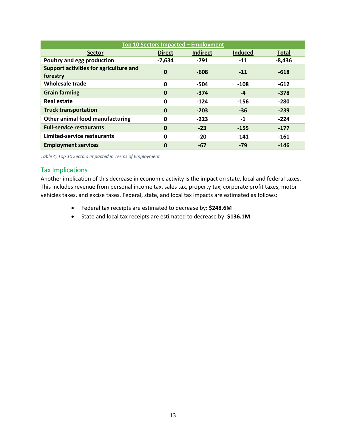| Top 10 Sectors Impacted - Employment               |               |                 |                |              |
|----------------------------------------------------|---------------|-----------------|----------------|--------------|
| <b>Sector</b>                                      | <b>Direct</b> | <b>Indirect</b> | <b>Induced</b> | <b>Total</b> |
| Poultry and egg production                         | $-7,634$      | $-791$          | $-11$          | $-8,436$     |
| Support activities for agriculture and<br>forestry | $\mathbf 0$   | $-608$          | $-11$          | $-618$       |
| Wholesale trade                                    | 0             | $-504$          | $-108$         | $-612$       |
| <b>Grain farming</b>                               | $\mathbf 0$   | $-374$          | $-4$           | $-378$       |
| Real estate                                        | 0             | $-124$          | $-156$         | $-280$       |
| <b>Truck transportation</b>                        | $\mathbf 0$   | $-203$          | $-36$          | $-239$       |
| Other animal food manufacturing                    | 0             | $-223$          | $-1$           | $-224$       |
| <b>Full-service restaurants</b>                    | $\mathbf 0$   | $-23$           | $-155$         | $-177$       |
| Limited-service restaurants                        | 0             | $-20$           | $-141$         | $-161$       |
| <b>Employment services</b>                         | 0             | $-67$           | $-79$          | $-146$       |

<span id="page-12-1"></span>*Table 4, Top 10 Sectors Impacted in Terms of Employment*

### <span id="page-12-0"></span>Tax Implications

Another implication of this decrease in economic activity is the impact on state, local and federal taxes. This includes revenue from personal income tax, sales tax, property tax, corporate profit taxes, motor vehicles taxes, and excise taxes. Federal, state, and local tax impacts are estimated as follows:

- Federal tax receipts are estimated to decrease by: **\$248.6M**
- State and local tax receipts are estimated to decrease by: **\$136.1M**